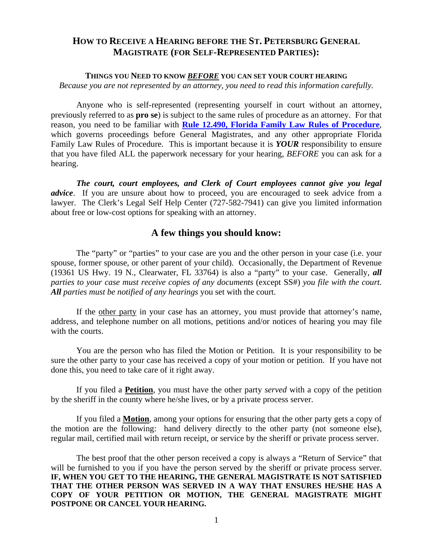## **HOW TO RECEIVE A HEARING BEFORE THE ST. PETERSBURG GENERAL MAGISTRATE (FOR SELF-REPRESENTED PARTIES):**

### **THINGS YOU NEED TO KNOW** *BEFORE* **YOU CAN SET YOUR COURT HEARING**

*Because you are not represented by an attorney, you need to read this information carefully.* 

Anyone who is self-represented (representing yourself in court without an attorney, previously referred to as **pro se**) is subject to the same rules of procedure as an attorney. For that reason, you need to be familiar with **[Rule 12.490, Florida Family Law Rules of Procedure](http://www.floridabar.org/TFB/TFBResources.nsf/0/416879C4A88CBF0485256B29004BFAF8/$FILE/311%20Family%20Law.pdf?OpenElement)**, which governs proceedings before General Magistrates, and any other appropriate Florida Family Law Rules of Procedure. This is important because it is *YOUR* responsibility to ensure that you have filed ALL the paperwork necessary for your hearing, *BEFORE* you can ask for a hearing.

*The court, court employees, and Clerk of Court employees cannot give you legal advice*. If you are unsure about how to proceed, you are encouraged to seek advice from a lawyer. The Clerk's Legal Self Help Center (727-582-7941) can give you limited information about free or low-cost options for speaking with an attorney.

### **A few things you should know:**

The "party" or "parties" to your case are you and the other person in your case (i.e. your spouse, former spouse, or other parent of your child). Occasionally, the Department of Revenue (19361 US Hwy. 19 N., Clearwater, FL 33764) is also a "party" to your case. Generally*, all parties to your case must receive copies of any documents* (except SS#) *you file with the court. All parties must be notified of any hearings* you set with the court.

If the other party in your case has an attorney, you must provide that attorney's name, address, and telephone number on all motions, petitions and/or notices of hearing you may file with the courts.

You are the person who has filed the Motion or Petition. It is your responsibility to be sure the other party to your case has received a copy of your motion or petition. If you have not done this, you need to take care of it right away.

If you filed a **Petition**, you must have the other party *served* with a copy of the petition by the sheriff in the county where he/she lives, or by a private process server.

If you filed a **Motion**, among your options for ensuring that the other party gets a copy of the motion are the following: hand delivery directly to the other party (not someone else), regular mail, certified mail with return receipt, or service by the sheriff or private process server.

The best proof that the other person received a copy is always a "Return of Service" that will be furnished to you if you have the person served by the sheriff or private process server. **IF, WHEN YOU GET TO THE HEARING, THE GENERAL MAGISTRATE IS NOT SATISFIED THAT THE OTHER PERSON WAS SERVED IN A WAY THAT ENSURES HE/SHE HAS A COPY OF YOUR PETITION OR MOTION, THE GENERAL MAGISTRATE MIGHT POSTPONE OR CANCEL YOUR HEARING.**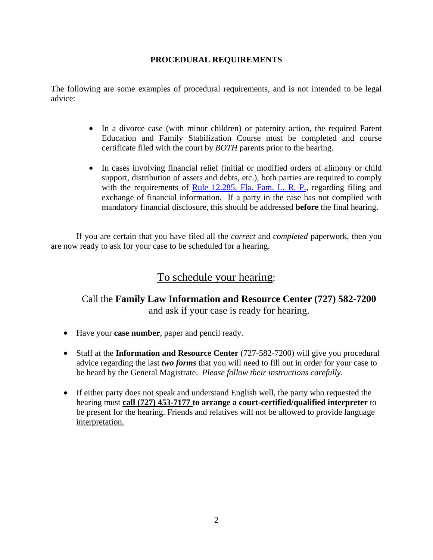### **PROCEDURAL REQUIREMENTS**

The following are some examples of procedural requirements, and is not intended to be legal advice:

- In a divorce case (with minor children) or paternity action, the required Parent Education and Family Stabilization Course must be completed and course certificate filed with the court by *BOTH* parents prior to the hearing.
- In cases involving financial relief (initial or modified orders of alimony or child support, distribution of assets and debts, etc.), both parties are required to comply with the requirements of [Rule 12.285, Fla. Fam. L. R. P.,](http://www.floridabar.org/TFB/TFBResources.nsf/0/416879C4A88CBF0485256B29004BFAF8/$FILE/311%20Family%20Law.pdf?OpenElement) regarding filing and exchange of financial information. If a party in the case has not complied with mandatory financial disclosure, this should be addressed **before** the final hearing.

If you are certain that you have filed all the *correct* and *completed* paperwork, then you are now ready to ask for your case to be scheduled for a hearing.

# To schedule your hearing:

## Call the **Family Law Information and Resource Center (727) 582-7200**  and ask if your case is ready for hearing.

- Have your **case number**, paper and pencil ready.
- Staff at the **Information and Resource Center** (727-582-7200) will give you procedural advice regarding the last *two forms* that you will need to fill out in order for your case to be heard by the General Magistrate. *Please follow their instructions carefully*.
- If either party does not speak and understand English well, the party who requested the hearing must **call (727) 453-7177 to arrange a court-certified/qualified interpreter** to be present for the hearing. Friends and relatives will not be allowed to provide language interpretation.